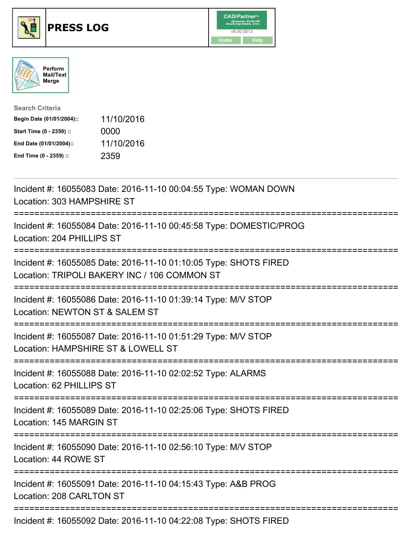





| <b>Search Criteria</b>    |            |
|---------------------------|------------|
| Begin Date (01/01/2004):: | 11/10/2016 |
| Start Time (0 - 2359) ::  | 0000       |
| End Date (01/01/2004)::   | 11/10/2016 |
| End Time (0 - 2359) ::    | 2359       |

| Incident #: 16055083 Date: 2016-11-10 00:04:55 Type: WOMAN DOWN<br>Location: 303 HAMPSHIRE ST                                                      |
|----------------------------------------------------------------------------------------------------------------------------------------------------|
| Incident #: 16055084 Date: 2016-11-10 00:45:58 Type: DOMESTIC/PROG<br>Location: 204 PHILLIPS ST                                                    |
| Incident #: 16055085 Date: 2016-11-10 01:10:05 Type: SHOTS FIRED<br>Location: TRIPOLI BAKERY INC / 106 COMMON ST                                   |
| Incident #: 16055086 Date: 2016-11-10 01:39:14 Type: M/V STOP<br>Location: NEWTON ST & SALEM ST<br>---------                                       |
| Incident #: 16055087 Date: 2016-11-10 01:51:29 Type: M/V STOP<br>Location: HAMPSHIRE ST & LOWELL ST<br>.---------------------------<br>----------- |
| Incident #: 16055088 Date: 2016-11-10 02:02:52 Type: ALARMS<br>Location: 62 PHILLIPS ST                                                            |
| Incident #: 16055089 Date: 2016-11-10 02:25:06 Type: SHOTS FIRED<br>Location: 145 MARGIN ST                                                        |
| Incident #: 16055090 Date: 2016-11-10 02:56:10 Type: M/V STOP<br>Location: 44 ROWE ST                                                              |
| Incident #: 16055091 Date: 2016-11-10 04:15:43 Type: A&B PROG<br>Location: 208 CARLTON ST                                                          |
| Incident #: 16055092 Date: 2016-11-10 04:22:08 Type: SHOTS FIRED                                                                                   |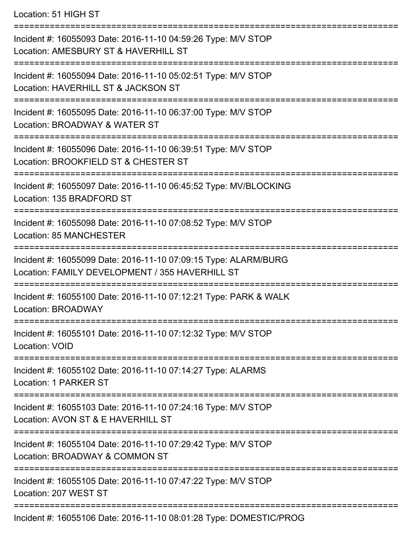Location: 51 HIGH ST

=========================================================================== Incident #: 16055093 Date: 2016-11-10 04:59:26 Type: M/V STOP Location: AMESBURY ST & HAVERHILL ST =========================================================================== Incident #: 16055094 Date: 2016-11-10 05:02:51 Type: M/V STOP Location: HAVERHILL ST & JACKSON ST =========================================================================== Incident #: 16055095 Date: 2016-11-10 06:37:00 Type: M/V STOP Location: BROADWAY & WATER ST =========================================================================== Incident #: 16055096 Date: 2016-11-10 06:39:51 Type: M/V STOP Location: BROOKFIELD ST & CHESTER ST =========================================================================== Incident #: 16055097 Date: 2016-11-10 06:45:52 Type: MV/BLOCKING Location: 135 BRADFORD ST =========================================================================== Incident #: 16055098 Date: 2016-11-10 07:08:52 Type: M/V STOP Location: 85 MANCHESTER =========================================================================== Incident #: 16055099 Date: 2016-11-10 07:09:15 Type: ALARM/BURG Location: FAMILY DEVELOPMENT / 355 HAVERHILL ST =========================================================================== Incident #: 16055100 Date: 2016-11-10 07:12:21 Type: PARK & WALK Location: BROADWAY =========================================================================== Incident #: 16055101 Date: 2016-11-10 07:12:32 Type: M/V STOP Location: VOID =========================================================================== Incident #: 16055102 Date: 2016-11-10 07:14:27 Type: ALARMS Location: 1 PARKER ST =========================================================================== Incident #: 16055103 Date: 2016-11-10 07:24:16 Type: M/V STOP Location: AVON ST & F HAVERHILL ST =========================================================================== Incident #: 16055104 Date: 2016-11-10 07:29:42 Type: M/V STOP Location: BROADWAY & COMMON ST =========================================================================== Incident #: 16055105 Date: 2016-11-10 07:47:22 Type: M/V STOP Location: 207 WEST ST =========================================================================== Incident #: 16055106 Date: 2016-11-10 08:01:28 Type: DOMESTIC/PROG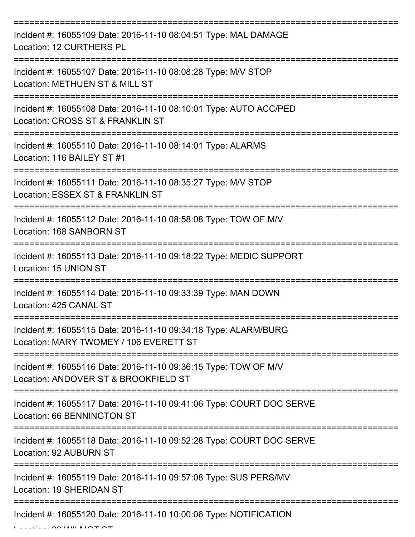| Incident #: 16055109 Date: 2016-11-10 08:04:51 Type: MAL DAMAGE<br>Location: 12 CURTHERS PL               |
|-----------------------------------------------------------------------------------------------------------|
| Incident #: 16055107 Date: 2016-11-10 08:08:28 Type: M/V STOP<br>Location: METHUEN ST & MILL ST           |
| Incident #: 16055108 Date: 2016-11-10 08:10:01 Type: AUTO ACC/PED<br>Location: CROSS ST & FRANKLIN ST     |
| Incident #: 16055110 Date: 2016-11-10 08:14:01 Type: ALARMS<br>Location: 116 BAILEY ST #1                 |
| Incident #: 16055111 Date: 2016-11-10 08:35:27 Type: M/V STOP<br>Location: ESSEX ST & FRANKLIN ST         |
| Incident #: 16055112 Date: 2016-11-10 08:58:08 Type: TOW OF M/V<br>Location: 168 SANBORN ST               |
| Incident #: 16055113 Date: 2016-11-10 09:18:22 Type: MEDIC SUPPORT<br>Location: 15 UNION ST               |
| Incident #: 16055114 Date: 2016-11-10 09:33:39 Type: MAN DOWN<br>Location: 425 CANAL ST                   |
| Incident #: 16055115 Date: 2016-11-10 09:34:18 Type: ALARM/BURG<br>Location: MARY TWOMEY / 106 EVERETT ST |
| Incident #: 16055116 Date: 2016-11-10 09:36:15 Type: TOW OF M/V<br>Location: ANDOVER ST & BROOKFIELD ST   |
| Incident #: 16055117 Date: 2016-11-10 09:41:06 Type: COURT DOC SERVE<br>Location: 66 BENNINGTON ST        |
| Incident #: 16055118 Date: 2016-11-10 09:52:28 Type: COURT DOC SERVE<br>Location: 92 AUBURN ST            |
| Incident #: 16055119 Date: 2016-11-10 09:57:08 Type: SUS PERS/MV<br>Location: 19 SHERIDAN ST              |
| Incident #: 16055120 Date: 2016-11-10 10:00:06 Type: NOTIFICATION                                         |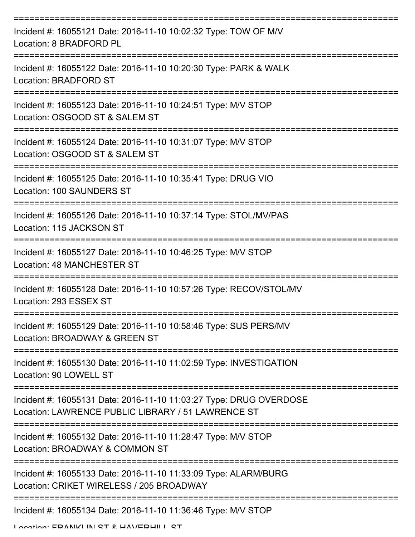| Incident #: 16055121 Date: 2016-11-10 10:02:32 Type: TOW OF M/V<br>Location: 8 BRADFORD PL                               |
|--------------------------------------------------------------------------------------------------------------------------|
| Incident #: 16055122 Date: 2016-11-10 10:20:30 Type: PARK & WALK<br>Location: BRADFORD ST                                |
| Incident #: 16055123 Date: 2016-11-10 10:24:51 Type: M/V STOP<br>Location: OSGOOD ST & SALEM ST                          |
| Incident #: 16055124 Date: 2016-11-10 10:31:07 Type: M/V STOP<br>Location: OSGOOD ST & SALEM ST                          |
| Incident #: 16055125 Date: 2016-11-10 10:35:41 Type: DRUG VIO<br><b>Location: 100 SAUNDERS ST</b>                        |
| Incident #: 16055126 Date: 2016-11-10 10:37:14 Type: STOL/MV/PAS<br>Location: 115 JACKSON ST                             |
| Incident #: 16055127 Date: 2016-11-10 10:46:25 Type: M/V STOP<br><b>Location: 48 MANCHESTER ST</b><br>==========         |
| Incident #: 16055128 Date: 2016-11-10 10:57:26 Type: RECOV/STOL/MV<br>Location: 293 ESSEX ST                             |
| Incident #: 16055129 Date: 2016-11-10 10:58:46 Type: SUS PERS/MV<br>Location: BROADWAY & GREEN ST                        |
| Incident #: 16055130 Date: 2016-11-10 11:02:59 Type: INVESTIGATION<br>Location: 90 LOWELL ST                             |
| Incident #: 16055131 Date: 2016-11-10 11:03:27 Type: DRUG OVERDOSE<br>Location: LAWRENCE PUBLIC LIBRARY / 51 LAWRENCE ST |
| Incident #: 16055132 Date: 2016-11-10 11:28:47 Type: M/V STOP<br>Location: BROADWAY & COMMON ST                          |
| Incident #: 16055133 Date: 2016-11-10 11:33:09 Type: ALARM/BURG<br>Location: CRIKET WIRELESS / 205 BROADWAY              |
| Incident #: 16055134 Date: 2016-11-10 11:36:46 Type: M/V STOP                                                            |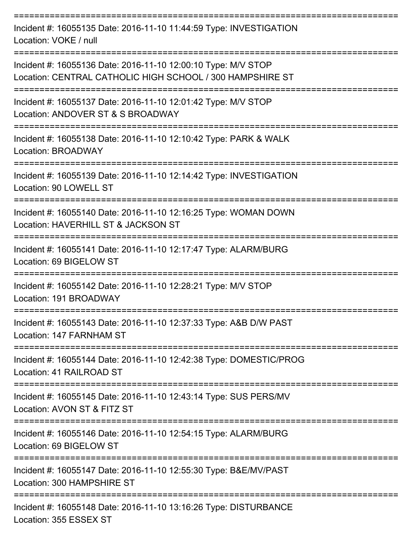| Incident #: 16055135 Date: 2016-11-10 11:44:59 Type: INVESTIGATION<br>Location: VOKE / null                                |
|----------------------------------------------------------------------------------------------------------------------------|
| Incident #: 16055136 Date: 2016-11-10 12:00:10 Type: M/V STOP<br>Location: CENTRAL CATHOLIC HIGH SCHOOL / 300 HAMPSHIRE ST |
| Incident #: 16055137 Date: 2016-11-10 12:01:42 Type: M/V STOP<br>Location: ANDOVER ST & S BROADWAY                         |
| Incident #: 16055138 Date: 2016-11-10 12:10:42 Type: PARK & WALK<br>Location: BROADWAY                                     |
| Incident #: 16055139 Date: 2016-11-10 12:14:42 Type: INVESTIGATION<br>Location: 90 LOWELL ST                               |
| Incident #: 16055140 Date: 2016-11-10 12:16:25 Type: WOMAN DOWN<br>Location: HAVERHILL ST & JACKSON ST                     |
| Incident #: 16055141 Date: 2016-11-10 12:17:47 Type: ALARM/BURG<br>Location: 69 BIGELOW ST                                 |
| Incident #: 16055142 Date: 2016-11-10 12:28:21 Type: M/V STOP<br>Location: 191 BROADWAY                                    |
| Incident #: 16055143 Date: 2016-11-10 12:37:33 Type: A&B D/W PAST<br>Location: 147 FARNHAM ST                              |
| -------------<br>Incident #: 16055144 Date: 2016-11-10 12:42:38 Type: DOMESTIC/PROG<br>Location: 41 RAILROAD ST            |
| Incident #: 16055145 Date: 2016-11-10 12:43:14 Type: SUS PERS/MV<br>Location: AVON ST & FITZ ST                            |
| Incident #: 16055146 Date: 2016-11-10 12:54:15 Type: ALARM/BURG<br>Location: 69 BIGELOW ST                                 |
| Incident #: 16055147 Date: 2016-11-10 12:55:30 Type: B&E/MV/PAST<br>Location: 300 HAMPSHIRE ST                             |
| Incident #: 16055148 Date: 2016-11-10 13:16:26 Type: DISTURBANCE<br>Location: 355 ESSEX ST                                 |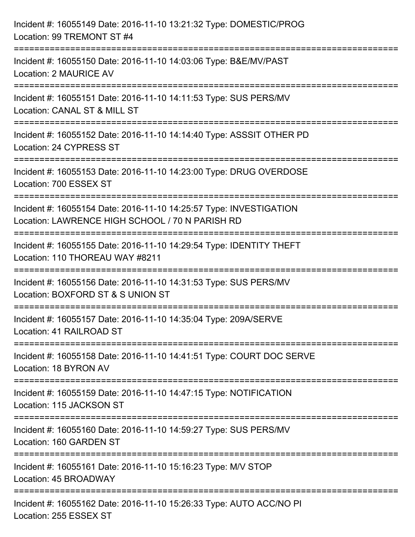| Incident #: 16055149 Date: 2016-11-10 13:21:32 Type: DOMESTIC/PROG<br>Location: 99 TREMONT ST #4                                                              |
|---------------------------------------------------------------------------------------------------------------------------------------------------------------|
| ===================================<br>Incident #: 16055150 Date: 2016-11-10 14:03:06 Type: B&E/MV/PAST<br>Location: 2 MAURICE AV                             |
| Incident #: 16055151 Date: 2016-11-10 14:11:53 Type: SUS PERS/MV<br>Location: CANAL ST & MILL ST                                                              |
| Incident #: 16055152 Date: 2016-11-10 14:14:40 Type: ASSSIT OTHER PD<br>Location: 24 CYPRESS ST                                                               |
| Incident #: 16055153 Date: 2016-11-10 14:23:00 Type: DRUG OVERDOSE<br>Location: 700 ESSEX ST                                                                  |
| Incident #: 16055154 Date: 2016-11-10 14:25:57 Type: INVESTIGATION<br>Location: LAWRENCE HIGH SCHOOL / 70 N PARISH RD<br>==================================== |
| Incident #: 16055155 Date: 2016-11-10 14:29:54 Type: IDENTITY THEFT<br>Location: 110 THOREAU WAY #8211                                                        |
| Incident #: 16055156 Date: 2016-11-10 14:31:53 Type: SUS PERS/MV<br>Location: BOXFORD ST & S UNION ST                                                         |
| Incident #: 16055157 Date: 2016-11-10 14:35:04 Type: 209A/SERVE<br>Location: 41 RAILROAD ST                                                                   |
| Incident #: 16055158 Date: 2016-11-10 14:41:51 Type: COURT DOC SERVE<br>Location: 18 BYRON AV                                                                 |
| Incident #: 16055159 Date: 2016-11-10 14:47:15 Type: NOTIFICATION<br>Location: 115 JACKSON ST                                                                 |
| Incident #: 16055160 Date: 2016-11-10 14:59:27 Type: SUS PERS/MV<br>Location: 160 GARDEN ST                                                                   |
| Incident #: 16055161 Date: 2016-11-10 15:16:23 Type: M/V STOP<br>Location: 45 BROADWAY                                                                        |
| Incident #: 16055162 Date: 2016-11-10 15:26:33 Type: AUTO ACC/NO PI<br>Location: 255 ESSEX ST                                                                 |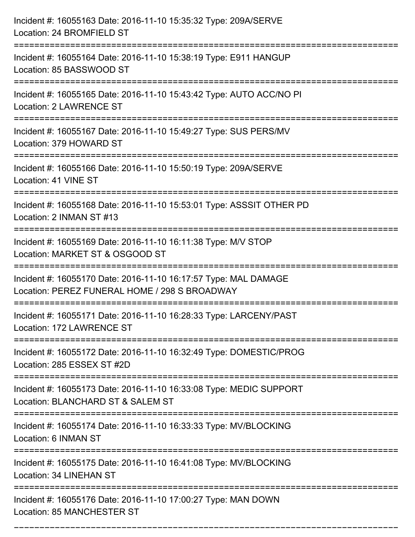| Incident #: 16055163 Date: 2016-11-10 15:35:32 Type: 209A/SERVE<br>Location: 24 BROMFIELD ST                                           |
|----------------------------------------------------------------------------------------------------------------------------------------|
| Incident #: 16055164 Date: 2016-11-10 15:38:19 Type: E911 HANGUP<br>Location: 85 BASSWOOD ST                                           |
| Incident #: 16055165 Date: 2016-11-10 15:43:42 Type: AUTO ACC/NO PI<br><b>Location: 2 LAWRENCE ST</b>                                  |
| Incident #: 16055167 Date: 2016-11-10 15:49:27 Type: SUS PERS/MV<br>Location: 379 HOWARD ST                                            |
| Incident #: 16055166 Date: 2016-11-10 15:50:19 Type: 209A/SERVE<br>Location: 41 VINE ST                                                |
| Incident #: 16055168 Date: 2016-11-10 15:53:01 Type: ASSSIT OTHER PD<br>Location: 2 INMAN ST #13                                       |
| Incident #: 16055169 Date: 2016-11-10 16:11:38 Type: M/V STOP<br>Location: MARKET ST & OSGOOD ST                                       |
| Incident #: 16055170 Date: 2016-11-10 16:17:57 Type: MAL DAMAGE<br>Location: PEREZ FUNERAL HOME / 298 S BROADWAY                       |
| Incident #: 16055171 Date: 2016-11-10 16:28:33 Type: LARCENY/PAST<br>Location: 172 LAWRENCE ST                                         |
| Incident #: 16055172 Date: 2016-11-10 16:32:49 Type: DOMESTIC/PROG<br>Location: 285 ESSEX ST #2D<br>---------------------------------- |
| Incident #: 16055173 Date: 2016-11-10 16:33:08 Type: MEDIC SUPPORT<br>Location: BLANCHARD ST & SALEM ST                                |
| Incident #: 16055174 Date: 2016-11-10 16:33:33 Type: MV/BLOCKING<br>Location: 6 INMAN ST                                               |
| Incident #: 16055175 Date: 2016-11-10 16:41:08 Type: MV/BLOCKING<br>Location: 34 LINEHAN ST                                            |
| Incident #: 16055176 Date: 2016-11-10 17:00:27 Type: MAN DOWN<br><b>Location: 85 MANCHESTER ST</b>                                     |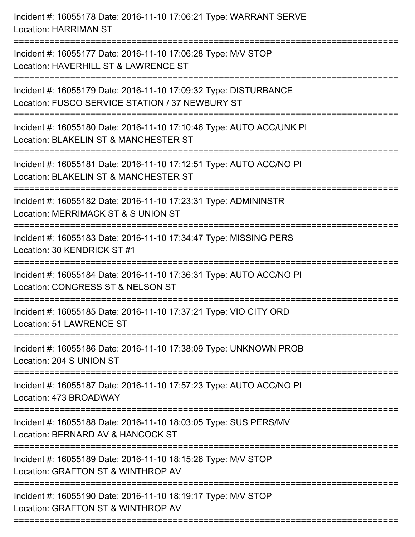| Incident #: 16055178 Date: 2016-11-10 17:06:21 Type: WARRANT SERVE<br><b>Location: HARRIMAN ST</b>                                         |
|--------------------------------------------------------------------------------------------------------------------------------------------|
| Incident #: 16055177 Date: 2016-11-10 17:06:28 Type: M/V STOP<br>Location: HAVERHILL ST & LAWRENCE ST<br>================================  |
| Incident #: 16055179 Date: 2016-11-10 17:09:32 Type: DISTURBANCE<br>Location: FUSCO SERVICE STATION / 37 NEWBURY ST<br>=================== |
| Incident #: 16055180 Date: 2016-11-10 17:10:46 Type: AUTO ACC/UNK PI<br>Location: BLAKELIN ST & MANCHESTER ST<br>=================         |
| Incident #: 16055181 Date: 2016-11-10 17:12:51 Type: AUTO ACC/NO PI<br>Location: BLAKELIN ST & MANCHESTER ST                               |
| Incident #: 16055182 Date: 2016-11-10 17:23:31 Type: ADMININSTR<br>Location: MERRIMACK ST & S UNION ST                                     |
| Incident #: 16055183 Date: 2016-11-10 17:34:47 Type: MISSING PERS<br>Location: 30 KENDRICK ST #1                                           |
| Incident #: 16055184 Date: 2016-11-10 17:36:31 Type: AUTO ACC/NO PI<br>Location: CONGRESS ST & NELSON ST                                   |
| Incident #: 16055185 Date: 2016-11-10 17:37:21 Type: VIO CITY ORD<br>Location: 51 LAWRENCE ST                                              |
| Incident #: 16055186 Date: 2016-11-10 17:38:09 Type: UNKNOWN PROB<br>Location: 204 S UNION ST                                              |
| Incident #: 16055187 Date: 2016-11-10 17:57:23 Type: AUTO ACC/NO PI<br>Location: 473 BROADWAY                                              |
| Incident #: 16055188 Date: 2016-11-10 18:03:05 Type: SUS PERS/MV<br>Location: BERNARD AV & HANCOCK ST                                      |
| Incident #: 16055189 Date: 2016-11-10 18:15:26 Type: M/V STOP<br>Location: GRAFTON ST & WINTHROP AV                                        |
| Incident #: 16055190 Date: 2016-11-10 18:19:17 Type: M/V STOP<br>Location: GRAFTON ST & WINTHROP AV                                        |
|                                                                                                                                            |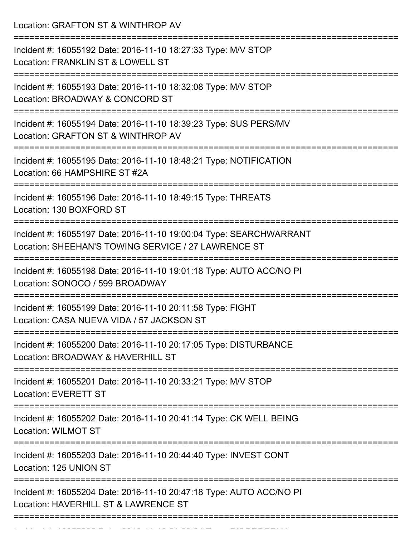Location: GRAFTON ST & WINTHROP AV =========================================================================== Incident #: 16055192 Date: 2016-11-10 18:27:33 Type: M/V STOP Location: FRANKLIN ST & LOWELL ST =========================================================================== Incident #: 16055193 Date: 2016-11-10 18:32:08 Type: M/V STOP Location: BROADWAY & CONCORD ST =========================================================================== Incident #: 16055194 Date: 2016-11-10 18:39:23 Type: SUS PERS/MV Location: GRAFTON ST & WINTHROP AV =========================================================================== Incident #: 16055195 Date: 2016-11-10 18:48:21 Type: NOTIFICATION Location: 66 HAMPSHIRE ST #2A =========================================================================== Incident #: 16055196 Date: 2016-11-10 18:49:15 Type: THREATS Location: 130 BOXFORD ST =========================================================================== Incident #: 16055197 Date: 2016-11-10 19:00:04 Type: SEARCHWARRANT Location: SHEEHAN'S TOWING SERVICE / 27 LAWRENCE ST =========================================================================== Incident #: 16055198 Date: 2016-11-10 19:01:18 Type: AUTO ACC/NO PI Location: SONOCO / 599 BROADWAY =========================================================================== Incident #: 16055199 Date: 2016-11-10 20:11:58 Type: FIGHT Location: CASA NUEVA VIDA / 57 JACKSON ST =========================================================================== Incident #: 16055200 Date: 2016-11-10 20:17:05 Type: DISTURBANCE Location: BROADWAY & HAVERHILL ST =========================================================================== Incident #: 16055201 Date: 2016-11-10 20:33:21 Type: M/V STOP Location: EVERETT ST =========================================================================== Incident #: 16055202 Date: 2016-11-10 20:41:14 Type: CK WELL BEING Location: WILMOT ST =========================================================================== Incident #: 16055203 Date: 2016-11-10 20:44:40 Type: INVEST CONT Location: 125 UNION ST =========================================================================== Incident #: 16055204 Date: 2016-11-10 20:47:18 Type: AUTO ACC/NO PI Location: HAVERHILL ST & LAWRENCE ST =========================================================================== Incident #: 16055205 Date: 2016 11 10 21:03:21 Type: 2016 2016 11 10 21:03:21 Type: 2016 2017<br>.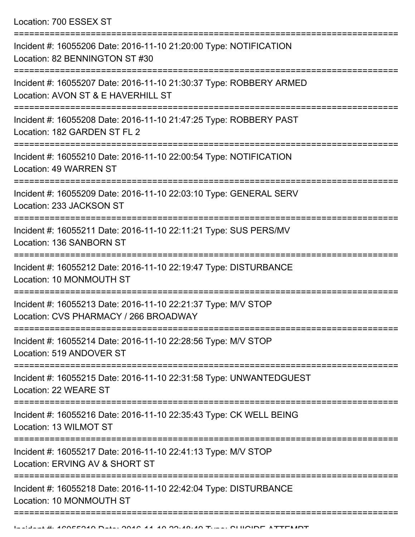Location: 700 ESSEX ST

| Incident #: 16055206 Date: 2016-11-10 21:20:00 Type: NOTIFICATION<br>Location: 82 BENNINGTON ST #30                         |
|-----------------------------------------------------------------------------------------------------------------------------|
| Incident #: 16055207 Date: 2016-11-10 21:30:37 Type: ROBBERY ARMED<br>Location: AVON ST & E HAVERHILL ST                    |
| Incident #: 16055208 Date: 2016-11-10 21:47:25 Type: ROBBERY PAST<br>Location: 182 GARDEN ST FL 2                           |
| Incident #: 16055210 Date: 2016-11-10 22:00:54 Type: NOTIFICATION<br><b>Location: 49 WARREN ST</b>                          |
| Incident #: 16055209 Date: 2016-11-10 22:03:10 Type: GENERAL SERV<br>Location: 233 JACKSON ST                               |
| Incident #: 16055211 Date: 2016-11-10 22:11:21 Type: SUS PERS/MV<br>Location: 136 SANBORN ST                                |
| Incident #: 16055212 Date: 2016-11-10 22:19:47 Type: DISTURBANCE<br>Location: 10 MONMOUTH ST                                |
| Incident #: 16055213 Date: 2016-11-10 22:21:37 Type: M/V STOP<br>Location: CVS PHARMACY / 266 BROADWAY                      |
| Incident #: 16055214 Date: 2016-11-10 22:28:56 Type: M/V STOP<br>Location: 519 ANDOVER ST<br>-------------                  |
| Incident #: 16055215 Date: 2016-11-10 22:31:58 Type: UNWANTEDGUEST<br>Location: 22 WEARE ST                                 |
| Incident #: 16055216 Date: 2016-11-10 22:35:43 Type: CK WELL BEING<br>Location: 13 WILMOT ST                                |
| ========================<br>Incident #: 16055217 Date: 2016-11-10 22:41:13 Type: M/V STOP<br>Location: ERVING AV & SHORT ST |
| Incident #: 16055218 Date: 2016-11-10 22:42:04 Type: DISTURBANCE<br>Location: 10 MONMOUTH ST                                |
|                                                                                                                             |